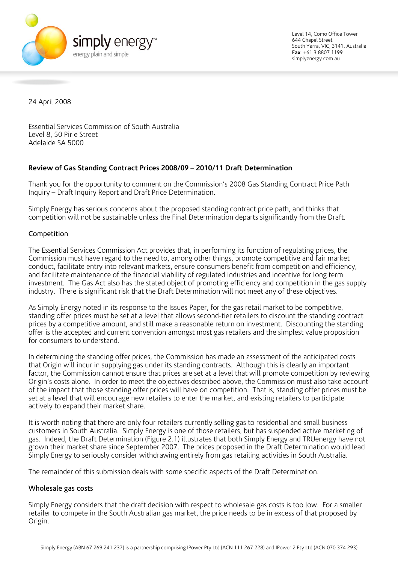

Level 14, Como Office Tower 644 Chapel Street South Yarra, VIC, 3141, Australia **Fax** +61 3 8807 1199 simplyenergy.com.au

24 April 2008

Essential Services Commission of South Australia Level 8, 50 Pirie Street Adelaide SA 5000

# **Review of Gas Standing Contract Prices 2008/09 – 2010/11 Draft Determination**

Thank you for the opportunity to comment on the Commission's 2008 Gas Standing Contract Price Path Inquiry – Draft Inquiry Report and Draft Price Determination.

Simply Energy has serious concerns about the proposed standing contract price path, and thinks that competition will not be sustainable unless the Final Determination departs significantly from the Draft.

## Competition

The Essential Services Commission Act provides that, in performing its function of regulating prices, the Commission must have regard to the need to, among other things, promote competitive and fair market conduct, facilitate entry into relevant markets, ensure consumers benefit from competition and efficiency, and facilitate maintenance of the financial viability of regulated industries and incentive for long term investment. The Gas Act also has the stated object of promoting efficiency and competition in the gas supply industry. There is significant risk that the Draft Determination will not meet any of these objectives.

As Simply Energy noted in its response to the Issues Paper, for the gas retail market to be competitive, standing offer prices must be set at a level that allows second-tier retailers to discount the standing contract prices by a competitive amount, and still make a reasonable return on investment. Discounting the standing offer is the accepted and current convention amongst most gas retailers and the simplest value proposition for consumers to understand.

In determining the standing offer prices, the Commission has made an assessment of the anticipated costs that Origin will incur in supplying gas under its standing contracts. Although this is clearly an important factor, the Commission cannot ensure that prices are set at a level that will promote competition by reviewing Origin's costs alone. In order to meet the objectives described above, the Commission must also take account of the impact that those standing offer prices will have on competition. That is, standing offer prices must be set at a level that will encourage new retailers to enter the market, and existing retailers to participate actively to expand their market share.

It is worth noting that there are only four retailers currently selling gas to residential and small business customers in South Australia. Simply Energy is one of those retailers, but has suspended active marketing of gas. Indeed, the Draft Determination (Figure 2.1) illustrates that both Simply Energy and TRUenergy have not grown their market share since September 2007. The prices proposed in the Draft Determination would lead Simply Energy to seriously consider withdrawing entirely from gas retailing activities in South Australia.

The remainder of this submission deals with some specific aspects of the Draft Determination.

## Wholesale gas costs

Simply Energy considers that the draft decision with respect to wholesale gas costs is too low. For a smaller retailer to compete in the South Australian gas market, the price needs to be in excess of that proposed by Origin.